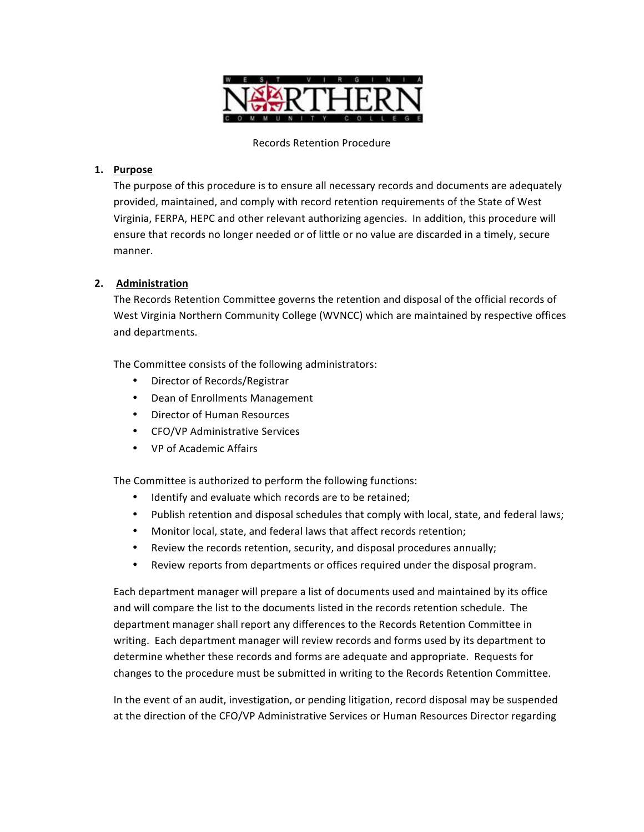

# **1. Purpose**

The purpose of this procedure is to ensure all necessary records and documents are adequately provided, maintained, and comply with record retention requirements of the State of West Virginia, FERPA, HEPC and other relevant authorizing agencies. In addition, this procedure will ensure that records no longer needed or of little or no value are discarded in a timely, secure manner.

# **2. Administration**

The Records Retention Committee governs the retention and disposal of the official records of West Virginia Northern Community College (WVNCC) which are maintained by respective offices and departments.

The Committee consists of the following administrators:

- Director of Records/Registrar
- Dean of Enrollments Management
- Director of Human Resources
- CFO/VP Administrative Services
- VP of Academic Affairs

The Committee is authorized to perform the following functions:

- Identify and evaluate which records are to be retained;
- Publish retention and disposal schedules that comply with local, state, and federal laws;
- Monitor local, state, and federal laws that affect records retention;
- Review the records retention, security, and disposal procedures annually;
- Review reports from departments or offices required under the disposal program.

Each department manager will prepare a list of documents used and maintained by its office and will compare the list to the documents listed in the records retention schedule. The department manager shall report any differences to the Records Retention Committee in writing. Each department manager will review records and forms used by its department to determine whether these records and forms are adequate and appropriate. Requests for changes to the procedure must be submitted in writing to the Records Retention Committee.

In the event of an audit, investigation, or pending litigation, record disposal may be suspended at the direction of the CFO/VP Administrative Services or Human Resources Director regarding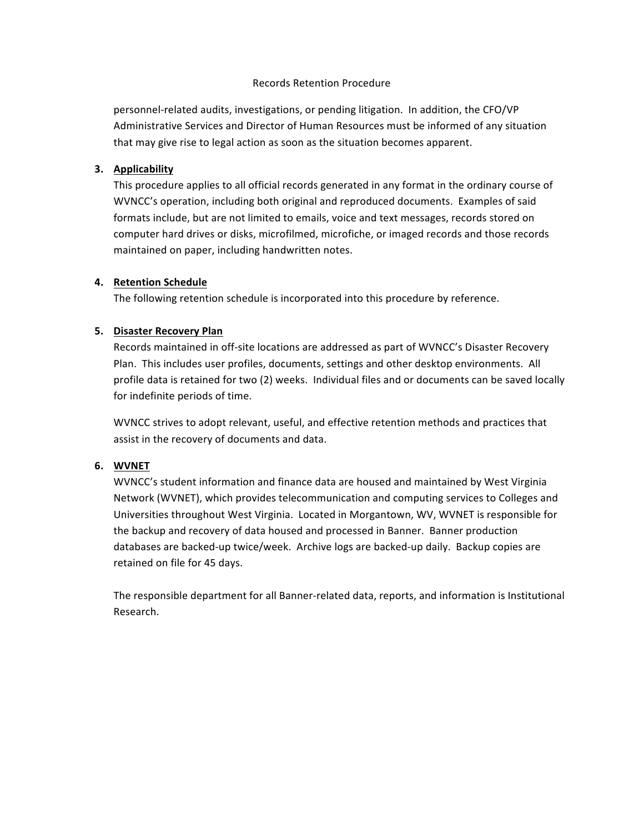personnel-related audits, investigations, or pending litigation. In addition, the CFO/VP Administrative Services and Director of Human Resources must be informed of any situation that may give rise to legal action as soon as the situation becomes apparent.

# **3. Applicability**

This procedure applies to all official records generated in any format in the ordinary course of WVNCC's operation, including both original and reproduced documents. Examples of said formats include, but are not limited to emails, voice and text messages, records stored on computer hard drives or disks, microfilmed, microfiche, or imaged records and those records maintained on paper, including handwritten notes.

# **4. Retention Schedule**

The following retention schedule is incorporated into this procedure by reference.

# **5. Disaster Recovery Plan**

Records maintained in off-site locations are addressed as part of WVNCC's Disaster Recovery Plan. This includes user profiles, documents, settings and other desktop environments. All profile data is retained for two (2) weeks. Individual files and or documents can be saved locally for indefinite periods of time.

WVNCC strives to adopt relevant, useful, and effective retention methods and practices that assist in the recovery of documents and data.

# **6. WVNET**

WVNCC's student information and finance data are housed and maintained by West Virginia Network (WVNET), which provides telecommunication and computing services to Colleges and Universities throughout West Virginia. Located in Morgantown, WV, WVNET is responsible for the backup and recovery of data housed and processed in Banner. Banner production databases are backed-up twice/week. Archive logs are backed-up daily. Backup copies are retained on file for 45 days.

The responsible department for all Banner-related data, reports, and information is Institutional Research.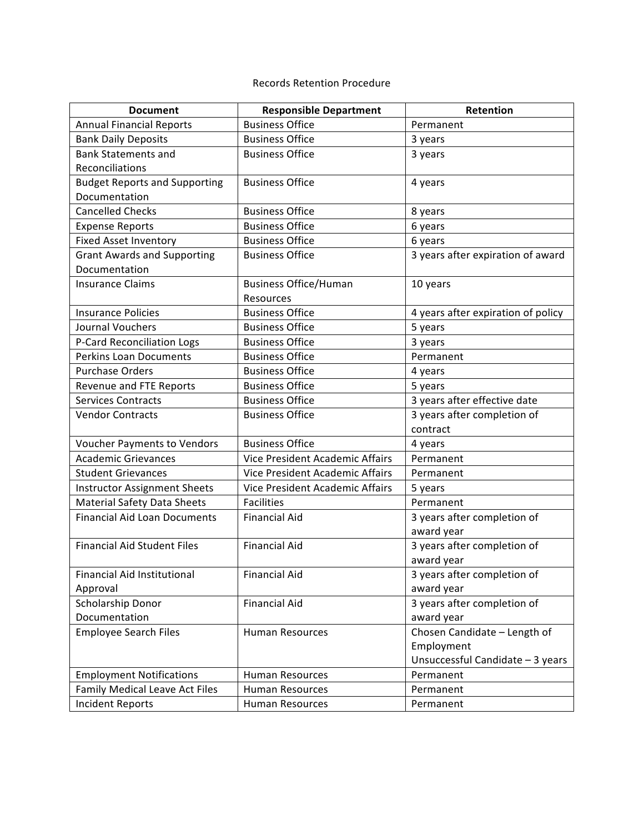| <b>Document</b>                       | <b>Responsible Department</b>   | Retention                          |
|---------------------------------------|---------------------------------|------------------------------------|
| <b>Annual Financial Reports</b>       | <b>Business Office</b>          | Permanent                          |
| <b>Bank Daily Deposits</b>            | <b>Business Office</b>          | 3 years                            |
| <b>Bank Statements and</b>            | <b>Business Office</b>          | 3 years                            |
| Reconciliations                       |                                 |                                    |
| <b>Budget Reports and Supporting</b>  | <b>Business Office</b>          | 4 years                            |
| Documentation                         |                                 |                                    |
| <b>Cancelled Checks</b>               | <b>Business Office</b>          | 8 years                            |
| <b>Expense Reports</b>                | <b>Business Office</b>          | 6 years                            |
| <b>Fixed Asset Inventory</b>          | <b>Business Office</b>          | 6 years                            |
| <b>Grant Awards and Supporting</b>    | <b>Business Office</b>          | 3 years after expiration of award  |
| Documentation                         |                                 |                                    |
| <b>Insurance Claims</b>               | <b>Business Office/Human</b>    | 10 years                           |
|                                       | Resources                       |                                    |
| <b>Insurance Policies</b>             | <b>Business Office</b>          | 4 years after expiration of policy |
| Journal Vouchers                      | <b>Business Office</b>          | 5 years                            |
| P-Card Reconciliation Logs            | <b>Business Office</b>          | 3 years                            |
| <b>Perkins Loan Documents</b>         | <b>Business Office</b>          | Permanent                          |
| <b>Purchase Orders</b>                | <b>Business Office</b>          | 4 years                            |
| Revenue and FTE Reports               | <b>Business Office</b>          | 5 years                            |
| <b>Services Contracts</b>             | <b>Business Office</b>          | 3 years after effective date       |
| <b>Vendor Contracts</b>               | <b>Business Office</b>          | 3 years after completion of        |
|                                       |                                 | contract                           |
| <b>Voucher Payments to Vendors</b>    | <b>Business Office</b>          | 4 years                            |
| <b>Academic Grievances</b>            | Vice President Academic Affairs | Permanent                          |
| <b>Student Grievances</b>             | Vice President Academic Affairs | Permanent                          |
| <b>Instructor Assignment Sheets</b>   | Vice President Academic Affairs | 5 years                            |
| <b>Material Safety Data Sheets</b>    | <b>Facilities</b>               | Permanent                          |
| <b>Financial Aid Loan Documents</b>   | <b>Financial Aid</b>            | 3 years after completion of        |
|                                       |                                 | award year                         |
| <b>Financial Aid Student Files</b>    | <b>Financial Aid</b>            | 3 years after completion of        |
|                                       |                                 | award year                         |
| Financial Aid Institutional           | <b>Financial Aid</b>            | 3 years after completion of        |
| Approval                              |                                 | award year                         |
| Scholarship Donor                     | <b>Financial Aid</b>            | 3 years after completion of        |
| Documentation                         |                                 | award year                         |
| <b>Employee Search Files</b>          | <b>Human Resources</b>          | Chosen Candidate - Length of       |
|                                       |                                 | Employment                         |
|                                       |                                 | Unsuccessful Candidate - 3 years   |
| <b>Employment Notifications</b>       | <b>Human Resources</b>          | Permanent                          |
| <b>Family Medical Leave Act Files</b> | Human Resources                 | Permanent                          |
| <b>Incident Reports</b>               | Human Resources                 | Permanent                          |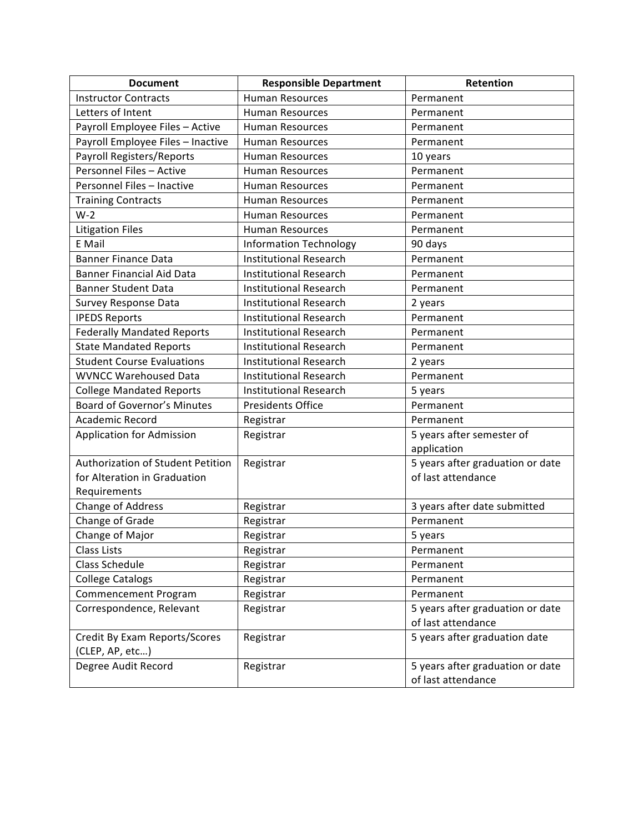| <b>Document</b>                    | <b>Responsible Department</b> | Retention                        |
|------------------------------------|-------------------------------|----------------------------------|
| <b>Instructor Contracts</b>        | <b>Human Resources</b>        | Permanent                        |
| Letters of Intent                  | <b>Human Resources</b>        | Permanent                        |
| Payroll Employee Files - Active    | <b>Human Resources</b>        | Permanent                        |
| Payroll Employee Files - Inactive  | Human Resources               | Permanent                        |
| Payroll Registers/Reports          | <b>Human Resources</b>        | 10 years                         |
| Personnel Files - Active           | <b>Human Resources</b>        | Permanent                        |
| Personnel Files - Inactive         | <b>Human Resources</b>        | Permanent                        |
| <b>Training Contracts</b>          | <b>Human Resources</b>        | Permanent                        |
| $W-2$                              | <b>Human Resources</b>        | Permanent                        |
| <b>Litigation Files</b>            | <b>Human Resources</b>        | Permanent                        |
| E Mail                             | <b>Information Technology</b> | 90 days                          |
| <b>Banner Finance Data</b>         | <b>Institutional Research</b> | Permanent                        |
| <b>Banner Financial Aid Data</b>   | <b>Institutional Research</b> | Permanent                        |
| <b>Banner Student Data</b>         | <b>Institutional Research</b> | Permanent                        |
| Survey Response Data               | <b>Institutional Research</b> | 2 years                          |
| <b>IPEDS Reports</b>               | <b>Institutional Research</b> | Permanent                        |
| <b>Federally Mandated Reports</b>  | <b>Institutional Research</b> | Permanent                        |
| <b>State Mandated Reports</b>      | <b>Institutional Research</b> | Permanent                        |
| <b>Student Course Evaluations</b>  | <b>Institutional Research</b> | 2 years                          |
| <b>WVNCC Warehoused Data</b>       | <b>Institutional Research</b> | Permanent                        |
| <b>College Mandated Reports</b>    | <b>Institutional Research</b> | 5 years                          |
| <b>Board of Governor's Minutes</b> | <b>Presidents Office</b>      | Permanent                        |
| Academic Record                    | Registrar                     | Permanent                        |
| Application for Admission          | Registrar                     | 5 years after semester of        |
|                                    |                               | application                      |
| Authorization of Student Petition  | Registrar                     | 5 years after graduation or date |
| for Alteration in Graduation       |                               | of last attendance               |
| Requirements                       |                               |                                  |
| Change of Address                  | Registrar                     | 3 years after date submitted     |
| Change of Grade                    | Registrar                     | Permanent                        |
| Change of Major                    | Registrar                     | 5 years                          |
| Class Lists                        | Registrar                     | Permanent                        |
| <b>Class Schedule</b>              | Registrar                     | Permanent                        |
| <b>College Catalogs</b>            | Registrar                     | Permanent                        |
| Commencement Program               | Registrar                     | Permanent                        |
| Correspondence, Relevant           | Registrar                     | 5 years after graduation or date |
|                                    |                               | of last attendance               |
| Credit By Exam Reports/Scores      | Registrar                     | 5 years after graduation date    |
| (CLEP, AP, etc)                    |                               |                                  |
| Degree Audit Record                | Registrar                     | 5 years after graduation or date |
|                                    |                               | of last attendance               |